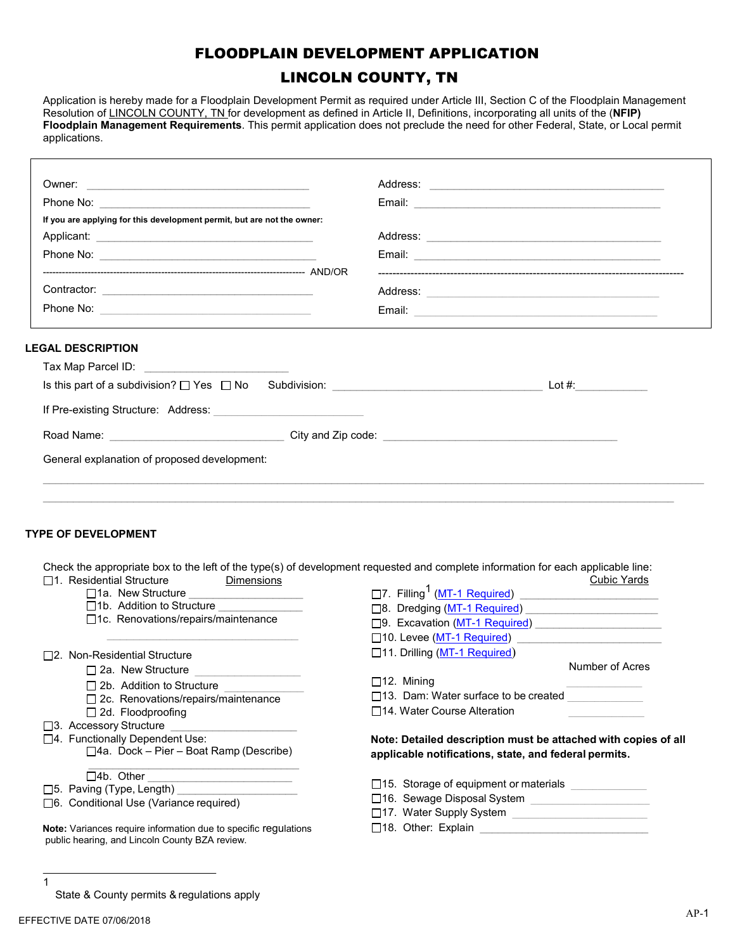## FLOODPLAIN DEVELOPMENT APPLICATION

# LINCOLN COUNTY, TN

Application is hereby made for a Floodplain Development Permit as required under Article III, Section C of the Floodplain Management Resolution of LINCOLN COUNTY, TN for development as defined in Article II, Definitions, incorporating all units of the (**NFIP) Floodplain Management Requirements**. This permit application does not preclude the need for other Federal, State, or Local permit applications.

| If you are applying for this development permit, but are not the owner:                                                                                                                                |                                                                                                                                                                                                                                      |
|--------------------------------------------------------------------------------------------------------------------------------------------------------------------------------------------------------|--------------------------------------------------------------------------------------------------------------------------------------------------------------------------------------------------------------------------------------|
|                                                                                                                                                                                                        |                                                                                                                                                                                                                                      |
|                                                                                                                                                                                                        |                                                                                                                                                                                                                                      |
|                                                                                                                                                                                                        |                                                                                                                                                                                                                                      |
|                                                                                                                                                                                                        |                                                                                                                                                                                                                                      |
|                                                                                                                                                                                                        | Email: <u>Alexander Alexander and Alexander Alexander Alexander and Alexander Alexander and Alexander and Alexander Alexander and Alexander and Alexander and Alexander and Alexander and Alexander and Alexander and Alexander </u> |
| <b>LEGAL DESCRIPTION</b>                                                                                                                                                                               |                                                                                                                                                                                                                                      |
| Tax Map Parcel ID: Tax Map Parcel ID:                                                                                                                                                                  |                                                                                                                                                                                                                                      |
|                                                                                                                                                                                                        |                                                                                                                                                                                                                                      |
|                                                                                                                                                                                                        |                                                                                                                                                                                                                                      |
|                                                                                                                                                                                                        |                                                                                                                                                                                                                                      |
|                                                                                                                                                                                                        |                                                                                                                                                                                                                                      |
|                                                                                                                                                                                                        |                                                                                                                                                                                                                                      |
|                                                                                                                                                                                                        |                                                                                                                                                                                                                                      |
|                                                                                                                                                                                                        |                                                                                                                                                                                                                                      |
| <b>TYPE OF DEVELOPMENT</b>                                                                                                                                                                             |                                                                                                                                                                                                                                      |
|                                                                                                                                                                                                        |                                                                                                                                                                                                                                      |
|                                                                                                                                                                                                        |                                                                                                                                                                                                                                      |
|                                                                                                                                                                                                        | Check the appropriate box to the left of the type(s) of development requested and complete information for each applicable line:                                                                                                     |
| <b>Dimensions</b>                                                                                                                                                                                      | <b>Cubic Yards</b>                                                                                                                                                                                                                   |
| □1a. New Structure <u>[1944]</u>                                                                                                                                                                       |                                                                                                                                                                                                                                      |
| $\Box$ 1b. Addition to Structure                                                                                                                                                                       | □8. Dredging (MT-1 Required)                                                                                                                                                                                                         |
| □1c. Renovations/repairs/maintenance                                                                                                                                                                   | □9. Excavation (MT-1 Required)                                                                                                                                                                                                       |
|                                                                                                                                                                                                        | □10. Levee (MT-1 Required)                                                                                                                                                                                                           |
|                                                                                                                                                                                                        | □11. Drilling (MT-1 Required)                                                                                                                                                                                                        |
| $\Box$ 2a. New Structure                                                                                                                                                                               | Number of Acres                                                                                                                                                                                                                      |
| $\Box$ 2b. Addition to Structure                                                                                                                                                                       | $\Box$ 12. Mining<br>$\Box$ 13. Dam: Water surface to be created                                                                                                                                                                     |
| $\Box$ 2c. Renovations/repairs/maintenance                                                                                                                                                             | □14. Water Course Alteration                                                                                                                                                                                                         |
| □ 2d. Floodproofing                                                                                                                                                                                    |                                                                                                                                                                                                                                      |
|                                                                                                                                                                                                        |                                                                                                                                                                                                                                      |
| $\Box$ 4a. Dock – Pier – Boat Ramp (Describe)                                                                                                                                                          | applicable notifications, state, and federal permits.                                                                                                                                                                                |
|                                                                                                                                                                                                        | Note: Detailed description must be attached with copies of all                                                                                                                                                                       |
| $\Box$ 4b. Other $\Box$                                                                                                                                                                                | $\square$ 15. Storage of equipment or materials                                                                                                                                                                                      |
| $\Box$ 1. Residential Structure<br>□2. Non-Residential Structure<br>□3. Accessory Structure<br>□4. Functionally Dependent Use:<br>□5. Paving (Type, Length)<br>□6. Conditional Use (Variance required) | □17. Water Supply System<br><u> 1980 - Jan Stein Stein Stein Stein Stein Stein Stein Stein Stein Stein Stein Stein Stein Stein Stein Stein S</u>                                                                                     |

**Note:** Variances require information due to specific regulations public hearing, and Lincoln County BZA review.

 $\Box$ 18. Other: Explain  $\Box$ 

State & County permits & regulations apply

1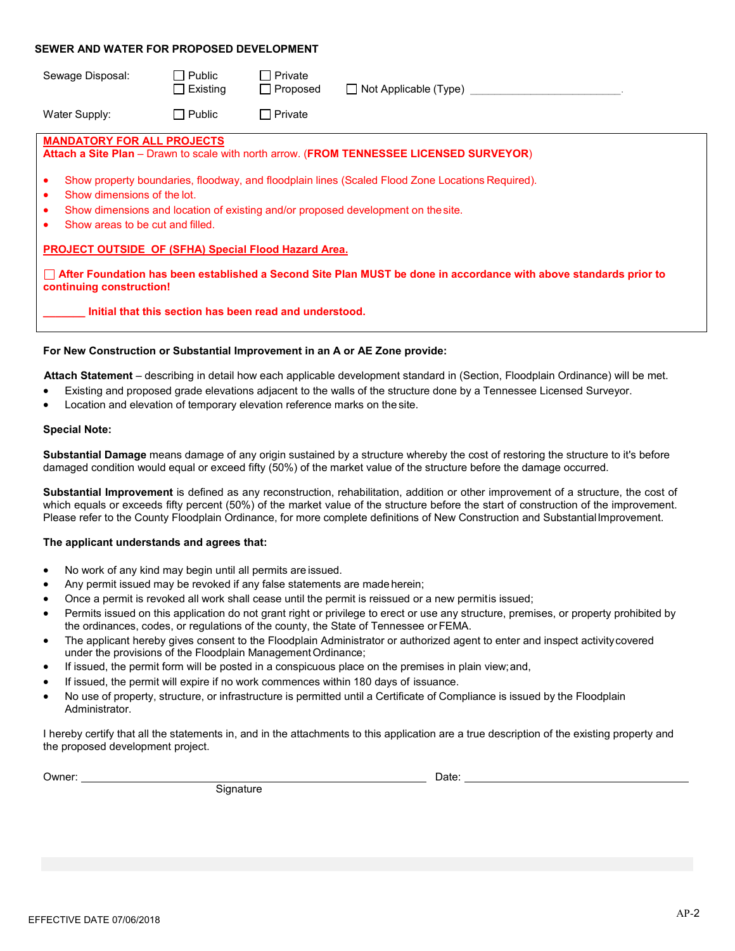#### **SEWER AND WATER FOR PROPOSED DEVELOPMENT**

| Sewage Disposal:                                                                    | Public<br>Existing<br>$\blacksquare$ | □ Private<br>$\Box$ Proposed                            | □ Not Applicable (Type)                                                                                                                                                               |  |  |  |
|-------------------------------------------------------------------------------------|--------------------------------------|---------------------------------------------------------|---------------------------------------------------------------------------------------------------------------------------------------------------------------------------------------|--|--|--|
| Water Supply:                                                                       | $\Box$ Public                        | $\Box$ Private                                          |                                                                                                                                                                                       |  |  |  |
| <b>MANDATORY FOR ALL PROJECTS</b>                                                   |                                      |                                                         | Attach a Site Plan - Drawn to scale with north arrow. (FROM TENNESSEE LICENSED SURVEYOR)                                                                                              |  |  |  |
| ٠<br>Show dimensions of the lot.<br>٠<br>٠<br>Show areas to be cut and filled.<br>٠ |                                      |                                                         | Show property boundaries, floodway, and floodplain lines (Scaled Flood Zone Locations Required).<br>Show dimensions and location of existing and/or proposed development on the site. |  |  |  |
| <b>PROJECT OUTSIDE OF (SFHA) Special Flood Hazard Area.</b>                         |                                      |                                                         |                                                                                                                                                                                       |  |  |  |
| continuing construction!                                                            |                                      |                                                         | □ After Foundation has been established a Second Site Plan MUST be done in accordance with above standards prior to                                                                   |  |  |  |
|                                                                                     |                                      | Initial that this section has been read and understood. |                                                                                                                                                                                       |  |  |  |

#### **For New Construction or Substantial Improvement in an A or AE Zone provide:**

 **Attach Statement** – describing in detail how each applicable development standard in (Section, Floodplain Ordinance) will be met.

- Existing and proposed grade elevations adjacent to the walls of the structure done by a Tennessee Licensed Surveyor.
- Location and elevation of temporary elevation reference marks on the site.

#### **Special Note:**

**Substantial Damage** means damage of any origin sustained by a structure whereby the cost of restoring the structure to it's before damaged condition would equal or exceed fifty (50%) of the market value of the structure before the damage occurred.

**Substantial Improvement** is defined as any reconstruction, rehabilitation, addition or other improvement of a structure, the cost of which equals or exceeds fifty percent (50%) of the market value of the structure before the start of construction of the improvement. Please refer to the County Floodplain Ordinance, for more complete definitions of New Construction and Substantial Improvement.

#### **The applicant understands and agrees that:**

- No work of any kind may begin until all permits are issued.
- Any permit issued may be revoked if any false statements are made herein;
- Once a permit is revoked all work shall cease until the permit is reissued or a new permitis issued;
- Permits issued on this application do not grant right or privilege to erect or use any structure, premises, or property prohibited by the ordinances, codes, or regulations of the county, the State of Tennessee or FEMA.
- The applicant hereby gives consent to the Floodplain Administrator or authorized agent to enter and inspect activity covered under the provisions of the Floodplain Management Ordinance;
- If issued, the permit form will be posted in a conspicuous place on the premises in plain view; and,
- If issued, the permit will expire if no work commences within 180 days of issuance.
- No use of property, structure, or infrastructure is permitted until a Certificate of Compliance is issued by the Floodplain Administrator.

I hereby certify that all the statements in, and in the attachments to this application are a true description of the existing property and the proposed development project.

Owner:

**Signature** 

 $\_$  Date:  $\_$